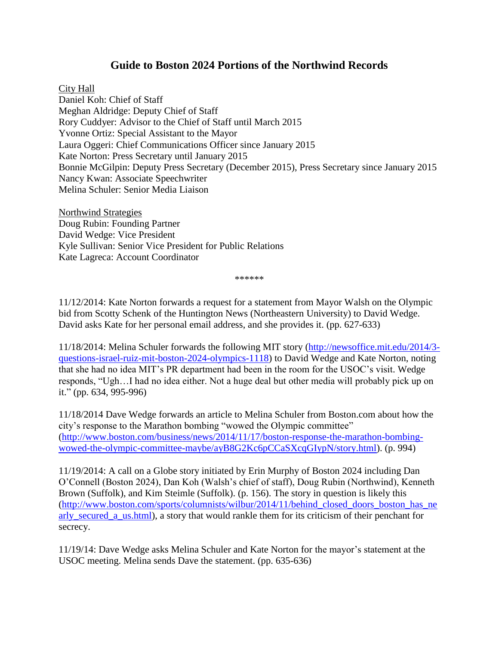## **Guide to Boston 2024 Portions of the Northwind Records**

City Hall

Daniel Koh: Chief of Staff Meghan Aldridge: Deputy Chief of Staff Rory Cuddyer: Advisor to the Chief of Staff until March 2015 Yvonne Ortiz: Special Assistant to the Mayor Laura Oggeri: Chief Communications Officer since January 2015 Kate Norton: Press Secretary until January 2015 Bonnie McGilpin: Deputy Press Secretary (December 2015), Press Secretary since January 2015 Nancy Kwan: Associate Speechwriter Melina Schuler: Senior Media Liaison

Northwind Strategies Doug Rubin: Founding Partner David Wedge: Vice President Kyle Sullivan: Senior Vice President for Public Relations Kate Lagreca: Account Coordinator

\*\*\*\*\*\*

11/12/2014: Kate Norton forwards a request for a statement from Mayor Walsh on the Olympic bid from Scotty Schenk of the Huntington News (Northeastern University) to David Wedge. David asks Kate for her personal email address, and she provides it. (pp. 627-633)

11/18/2014: Melina Schuler forwards the following MIT story [\(http://newsoffice.mit.edu/2014/3](http://newsoffice.mit.edu/2014/3-questions-israel-ruiz-mit-boston-2024-olympics-1118) [questions-israel-ruiz-mit-boston-2024-olympics-1118\)](http://newsoffice.mit.edu/2014/3-questions-israel-ruiz-mit-boston-2024-olympics-1118) to David Wedge and Kate Norton, noting that she had no idea MIT's PR department had been in the room for the USOC's visit. Wedge responds, "Ugh…I had no idea either. Not a huge deal but other media will probably pick up on it." (pp. 634, 995-996)

11/18/2014 Dave Wedge forwards an article to Melina Schuler from Boston.com about how the city's response to the Marathon bombing "wowed the Olympic committee" [\(http://www.boston.com/business/news/2014/11/17/boston-response-the-marathon-bombing](http://www.boston.com/business/news/2014/11/17/boston-response-the-marathon-bombing-wowed-the-olympic-committee-maybe/ayB8G2Kc6pCCaSXcqGIypN/story.html)[wowed-the-olympic-committee-maybe/ayB8G2Kc6pCCaSXcqGIypN/story.html\)](http://www.boston.com/business/news/2014/11/17/boston-response-the-marathon-bombing-wowed-the-olympic-committee-maybe/ayB8G2Kc6pCCaSXcqGIypN/story.html). (p. 994)

11/19/2014: A call on a Globe story initiated by Erin Murphy of Boston 2024 including Dan O'Connell (Boston 2024), Dan Koh (Walsh's chief of staff), Doug Rubin (Northwind), Kenneth Brown (Suffolk), and Kim Steimle (Suffolk). (p. 156). The story in question is likely this [\(http://www.boston.com/sports/columnists/wilbur/2014/11/behind\\_closed\\_doors\\_boston\\_has\\_ne](http://www.boston.com/sports/columnists/wilbur/2014/11/behind_closed_doors_boston_has_nearly_secured_a_us.html) arly secured\_a\_us.html), a story that would rankle them for its criticism of their penchant for secrecy.

11/19/14: Dave Wedge asks Melina Schuler and Kate Norton for the mayor's statement at the USOC meeting. Melina sends Dave the statement. (pp. 635-636)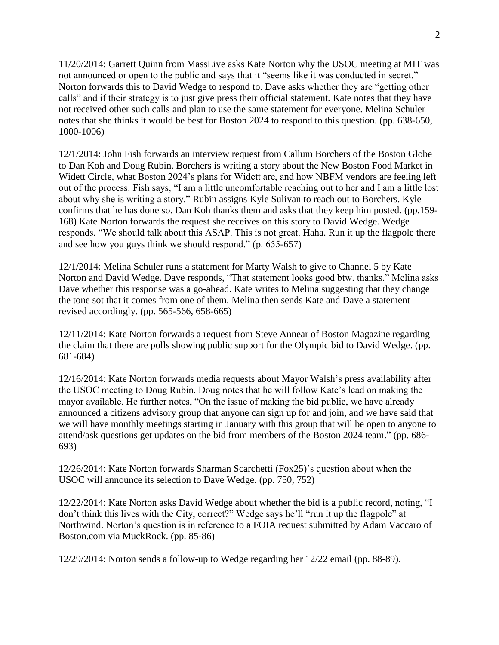11/20/2014: Garrett Quinn from MassLive asks Kate Norton why the USOC meeting at MIT was not announced or open to the public and says that it "seems like it was conducted in secret." Norton forwards this to David Wedge to respond to. Dave asks whether they are "getting other calls" and if their strategy is to just give press their official statement. Kate notes that they have not received other such calls and plan to use the same statement for everyone. Melina Schuler notes that she thinks it would be best for Boston 2024 to respond to this question. (pp. 638-650, 1000-1006)

12/1/2014: John Fish forwards an interview request from Callum Borchers of the Boston Globe to Dan Koh and Doug Rubin. Borchers is writing a story about the New Boston Food Market in Widett Circle, what Boston 2024's plans for Widett are, and how NBFM vendors are feeling left out of the process. Fish says, "I am a little uncomfortable reaching out to her and I am a little lost about why she is writing a story." Rubin assigns Kyle Sulivan to reach out to Borchers. Kyle confirms that he has done so. Dan Koh thanks them and asks that they keep him posted. (pp.159- 168) Kate Norton forwards the request she receives on this story to David Wedge. Wedge responds, "We should talk about this ASAP. This is not great. Haha. Run it up the flagpole there and see how you guys think we should respond." (p. 655-657)

12/1/2014: Melina Schuler runs a statement for Marty Walsh to give to Channel 5 by Kate Norton and David Wedge. Dave responds, "That statement looks good btw. thanks." Melina asks Dave whether this response was a go-ahead. Kate writes to Melina suggesting that they change the tone sot that it comes from one of them. Melina then sends Kate and Dave a statement revised accordingly. (pp. 565-566, 658-665)

12/11/2014: Kate Norton forwards a request from Steve Annear of Boston Magazine regarding the claim that there are polls showing public support for the Olympic bid to David Wedge. (pp. 681-684)

12/16/2014: Kate Norton forwards media requests about Mayor Walsh's press availability after the USOC meeting to Doug Rubin. Doug notes that he will follow Kate's lead on making the mayor available. He further notes, "On the issue of making the bid public, we have already announced a citizens advisory group that anyone can sign up for and join, and we have said that we will have monthly meetings starting in January with this group that will be open to anyone to attend/ask questions get updates on the bid from members of the Boston 2024 team." (pp. 686- 693)

12/26/2014: Kate Norton forwards Sharman Scarchetti (Fox25)'s question about when the USOC will announce its selection to Dave Wedge. (pp. 750, 752)

12/22/2014: Kate Norton asks David Wedge about whether the bid is a public record, noting, "I don't think this lives with the City, correct?" Wedge says he'll "run it up the flagpole" at Northwind. Norton's question is in reference to a FOIA request submitted by Adam Vaccaro of Boston.com via MuckRock. (pp. 85-86)

12/29/2014: Norton sends a follow-up to Wedge regarding her 12/22 email (pp. 88-89).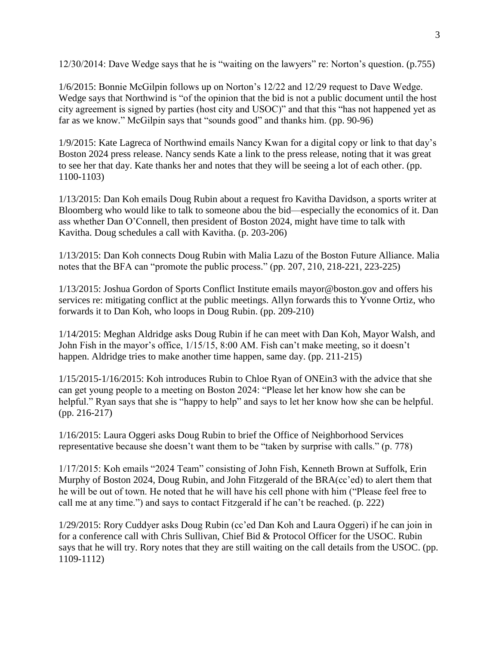12/30/2014: Dave Wedge says that he is "waiting on the lawyers" re: Norton's question. (p.755)

1/6/2015: Bonnie McGilpin follows up on Norton's 12/22 and 12/29 request to Dave Wedge. Wedge says that Northwind is "of the opinion that the bid is not a public document until the host city agreement is signed by parties (host city and USOC)" and that this "has not happened yet as far as we know." McGilpin says that "sounds good" and thanks him. (pp. 90-96)

1/9/2015: Kate Lagreca of Northwind emails Nancy Kwan for a digital copy or link to that day's Boston 2024 press release. Nancy sends Kate a link to the press release, noting that it was great to see her that day. Kate thanks her and notes that they will be seeing a lot of each other. (pp. 1100-1103)

1/13/2015: Dan Koh emails Doug Rubin about a request fro Kavitha Davidson, a sports writer at Bloomberg who would like to talk to someone abou the bid—especially the economics of it. Dan ass whether Dan O'Connell, then president of Boston 2024, might have time to talk with Kavitha. Doug schedules a call with Kavitha. (p. 203-206)

1/13/2015: Dan Koh connects Doug Rubin with Malia Lazu of the Boston Future Alliance. Malia notes that the BFA can "promote the public process." (pp. 207, 210, 218-221, 223-225)

1/13/2015: Joshua Gordon of Sports Conflict Institute emails mayor@boston.gov and offers his services re: mitigating conflict at the public meetings. Allyn forwards this to Yvonne Ortiz, who forwards it to Dan Koh, who loops in Doug Rubin. (pp. 209-210)

1/14/2015: Meghan Aldridge asks Doug Rubin if he can meet with Dan Koh, Mayor Walsh, and John Fish in the mayor's office, 1/15/15, 8:00 AM. Fish can't make meeting, so it doesn't happen. Aldridge tries to make another time happen, same day. (pp. 211-215)

1/15/2015-1/16/2015: Koh introduces Rubin to Chloe Ryan of ONEin3 with the advice that she can get young people to a meeting on Boston 2024: "Please let her know how she can be helpful." Ryan says that she is "happy to help" and says to let her know how she can be helpful. (pp. 216-217)

1/16/2015: Laura Oggeri asks Doug Rubin to brief the Office of Neighborhood Services representative because she doesn't want them to be "taken by surprise with calls." (p. 778)

1/17/2015: Koh emails "2024 Team" consisting of John Fish, Kenneth Brown at Suffolk, Erin Murphy of Boston 2024, Doug Rubin, and John Fitzgerald of the BRA(cc'ed) to alert them that he will be out of town. He noted that he will have his cell phone with him ("Please feel free to call me at any time.") and says to contact Fitzgerald if he can't be reached. (p. 222)

1/29/2015: Rory Cuddyer asks Doug Rubin (cc'ed Dan Koh and Laura Oggeri) if he can join in for a conference call with Chris Sullivan, Chief Bid & Protocol Officer for the USOC. Rubin says that he will try. Rory notes that they are still waiting on the call details from the USOC. (pp. 1109-1112)